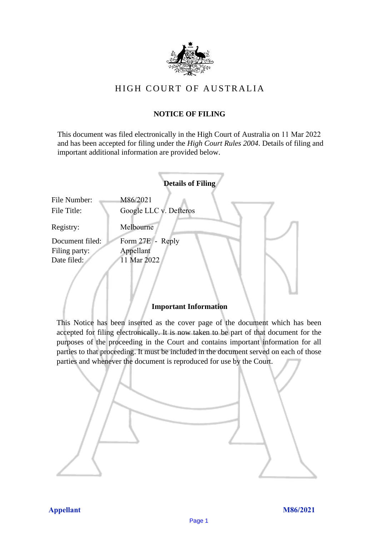

# HIGH COURT OF AU STRALIA HIGH COURT OF AUSTRALIA

# **NOTICE OF FILING** NOTICE OF FILING

This document was filed electronically in the High Court of Australia on 11 Mar 2022 and has been accepted for filing under the *High Court Rules 2004*. Details of filing and important additional information are provided below. important additional information are provided below.

|                                  | <b>Details of Filing</b>           |
|----------------------------------|------------------------------------|
| File Number:<br>File Title:      | M86/2021<br>Google LLC v. Defteros |
| Registry:                        | Melbourne                          |
| Document filed:<br>Filing party: | Form 27E - Reply<br>Appellant      |
| Date filed:                      | 11 Mar 2022                        |

# **Important Information** Important Information

This Notice has been inserted as the cover page of the document which has been accepted for filing electronically. It is now taken to be part of that document for the purposes of the proceeding in the Court and contains important information for all parties to that proceeding. It must be included in the document served on each of those parties and whenever the document is reproduced for use by the Court. parties and whenever the document is reproduced for use by the Court

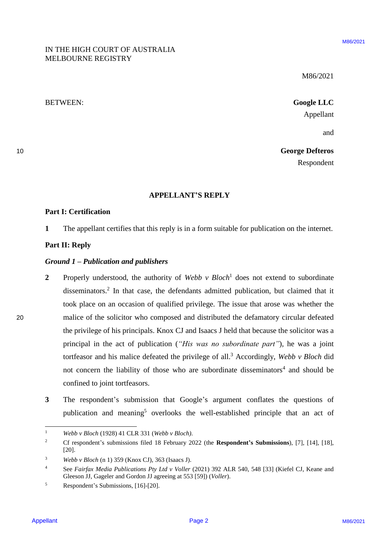# IN THE HIGH COURT OF AUSTRALIA IN THE HIGH COURT OF AUSTRALIA MELBOURNE REGISTRY MELBOURNE REGISTRY

M86/2021 M86/2021

BETWEEN: **Google LLC** BETWEEN: Google LLC Appellant Appellant

and and

10 **George Defteros** George Defteros Respondent Respondent

## **APPELLANT'S REPLY** APPELLANT'S REPLY

### **Part I: Certification** Part I: Certification

**1** The appellant certifies that this reply is in a form suitable for publication on the internet. <sup>1</sup> The appellant certifies that this reply is in a form suitable for publication on the internet.

# **Part II: Reply**  Part II: Reply

#### *Ground 1 – Publication and publishers* Ground 1— Publication and publishers

- **2** Properly understood, the authority of *Webb v Bloch* 1 does not extend to subordinate 2Properly understood, the authority of Webb v Bloch! does not extend to subordinate disseminators.<sup>2</sup> In that case, the defendants admitted publication, but claimed that it took place on an occasion of qualified privilege. The issue that arose was whether the 20 malice of the solicitor who composed and distributed the defamatory circular defeated malice of the solicitor who composed and distributed the defamatory circular defeated the privilege of his principals. Knox CJ and Isaacs J held that because the solicitor was a the privilege of his principals. Knox CJ and Isaacs <sup>J</sup> held that because the solicitor was <sup>a</sup> principal in the act of publication ("His was no subordinate part"), he was a joint tortfeasor and his malice defeated the privilege of all. <sup>3</sup> Accordingly, *Webb v Bloch* did tortfeasor and his malice defeated the privilege of all.° Accordingly, Webb v Bloch did not concern the liability of those who are subordinate disseminators<sup>4</sup> and should be confined to joint tortfeasors. confined to joint tortfeasors. APPER LIGER COURT OF AUSTRALIA<br>
MESCO221<br>
MESCO221<br>
MESCO221<br>
MESCO221<br>
MESCO221<br>
MESCO221<br>
MESCO221<br>
MESCO221<br>
MESCO221<br>
MESCO221<br>
MESCO221<br>
MESCO221<br>
MESCO221<br>
MESCO221<br>
The appellant contification<br> **APPELLANT'S REPLY**<br>
	- **3** The respondent's submission that Google's argument conflates the questions of The respondent's submission that Google's argument conflates the questions ofpublication and meaning<sup>5</sup> overlooks the well-established principle that an act of

 $\mathbf{1}$ <sup>1</sup> *Webb v Bloch* (1928) 41 CLR 331 (*Webb v Bloch)*. Webb v Bloch (1928) 41 CLR 331 (Webb v Bloch).

<sup>&</sup>lt;sup>2</sup> Cf respondent's submissions filed 18 February 2022 (the **Respondent's Submissions**), [7], [14], [18], [20]. [20].

<sup>3</sup> *Webb v Bloch* (n 1) 359 (Knox CJ), 363 (Isaacs J). Webb vBloch (n 1) 359 (Knox CJ), 363 (Isaacs J).

<sup>4</sup> See *Fairfax Media Publications Pty Ltd v Voller* (2021) 392 ALR 540, 548 [33] (Kiefel CJ, Keane and See Fairfax Media Publications Pty Ltd v Voller (2021) 392 ALR 540, 548 [33] (Kiefel CJ, Keane and Gleeson JJ, Gageler and Gordon JJ agreeing at 553 [59]) (*Voller*). Gleeson JJ, Gageler and Gordon JJ agreeing at 553 [59]) (Voller).

<sup>5</sup> Respondent's Submissions, [16]-[20]. Respondent's Submissions, [16]-[20].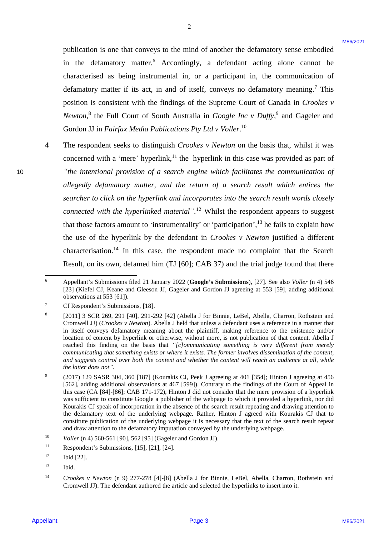publication is one that conveys to the mind of another the defamatory sense embodied publication is one that conveys to the mind of another the defamatory sense embodied in the defamatory matter. <sup>6</sup> Accordingly, a defendant acting alone cannot be in the defamatory matter.° Accordingly, a defendant acting alone cannot be characterised as being instrumental in, or a participant in, the communication of defamatory matter if its act, in and of itself, conveys no defamatory meaning. <sup>7</sup> This defamatory matter if its act, in and of itself, conveys no defamatory meaning.' This position is consistent with the findings of the Supreme Court of Canada in *Crookes v*  position is consistent with the findings of the Supreme Court of Canada in Crookes v Newton,<sup>8</sup> the Full Court of South Australia in *Google Inc v Duffy*,<sup>9</sup> and Gageler and Gordon JJ in *Fairfax Media Publications Pty Ltd v Voller*.<sup>10</sup>

2

**4** The respondent seeks to distinguish *Crookes v Newton* on the basis that, whilst it was The respondent seeks to distinguish Crookes v Newton on the basis that, whilst it was concerned with a 'mere' hyperlink,<sup>11</sup> the hyperlink in this case was provided as part of 10 *"the intentional provision of a search engine which facilitates the communication of*  "the intentionalprovision of a search engine which facilitates the communication of *allegedly defamatory matter, and the return of a search result which entices the*  allegedly defamatory matter, andthe return of a search result which entices the *searcher to click on the hyperlink and incorporates into the search result words closely*  searcher to click on the hyperlink and incorporates into the search result words closely connected with the hyperlinked material".<sup>12</sup> Whilst the respondent appears to suggest that those factors amount to 'instrumentality' or 'participation',<sup>13</sup> he fails to explain how the use of the hyperlink by the defendant in *Crookes v Newton* justified a different the use of the hyperlink by the defendant in Crookes v Newton justified <sup>a</sup> different characterisation.<sup>14</sup> In this case, the respondent made no complaint that the Search Result, on its own, defamed him (TJ [60]; CAB 37) and the trial judge found that there Result, on its own, defamed him (TJ [60]; CAB 37) and the trial judge found that there publication is one that conveys to the mind of another the defautatory same embodied<br>in the defauntatory matter. Accordingly, a defondant conigle alone contour be<br>defined as being informeral in, or a participant conigle a

 $\overline{a}$ 

<sup>&</sup>lt;sup>6</sup> Appellant's Submissions filed 21 January 2022 (Google's Submissions), [27]. See also *Voller* (n 4) 546 [23] (Kiefel CJ, Keane and Gleeson JJ, Gageler and Gordon JJ agreeing at 553 [59], adding additional [23] (Kiefel CJ, Keane and Gleeson JJ, Gageler and Gordon JJ agreeing at 553 [59], adding additional observations at 553 [61]). observations at 553 [61]).

<sup>7</sup> Cf Respondent's Submissions, [18]. Cf Respondent's Submissions, [18].

<sup>8</sup> [2011] 3 SCR 269, 291 [40], 291-292 [42] (Abella J for Binnie, LeBel, Abella, Charron, Rothstein and [2011] <sup>3</sup> SCR 269, 291 [40], 291-292 [42] (Abella <sup>J</sup> for Binnie, LeBel, Abella, Charron, Rothstein and Cromwell JJ) (*Crookes v Newton*). Abella J held that unless a defendant uses a reference in a manner that Cromwell JJ)(Crookes v Newton). Abella <sup>J</sup> held that unless adefendant uses a reference in a manner that in itself conveys defamatory meaning about the plaintiff, making reference to the existence and/or in itself conveys defamatory meaning about the plaintiff, making reference to the existence and/or location of content by hyperlink or otherwise, without more, is not publication of that content. Abella J reached this finding on the basis that "[c]ommunicating something is very different from merely communicating that something exists or where it exists. The former involves dissemination of the content, and suggests control over both the content and whether the content will reach an audience at all, while *the latter does not"*. the latter does not".

 $\overline{9}$ (2017) 129 SASR 304, 360 [187] (Kourakis CJ, Peek J agreeing at 401 [354]; Hinton J agreeing at 456 (2017) 129 SASR 304, 360 [187] (Kourakis CJ, Peek <sup>J</sup> agreeing at 401 [354]; Hinton <sup>J</sup> agreeing at 456 [562], adding additional observations at 467 [599]). Contrary to the findings of the Court of Appeal in [562], adding additional observations at 467 [599]). Contrary to the findings ofthe Court of Appeal in this case (CA [84]-[86]; CAB 171-172), Hinton J did not consider that the mere provision of a hyperlink this case (CA [84]-[86]; CAB 171-172), Hinton <sup>J</sup> did not consider that the mere provision of a hyperlink was sufficient to constitute Google a publisher of the webpage to which it provided a hyperlink, nor did Kourakis CJ speak of incorporation in the absence of the search result repeating and drawing attention to Kourakis CJ speak of incorporation in the absence of the search result repeating and drawing attention to the defamatory text of the underlying webpage. Rather, Hinton J agreed with Kourakis CJ that to constitute publication of the underlying webpage it is necessary that the text of the search result repeat constitute publication of the underlying webpage it is necessary that the text of the search result repeat and draw attention to the defamatory imputation conveyed by the underlying webpage. and draw attention to the defamatory imputation conveyed by the underlying webpage.

<sup>10</sup> *Voller* (n 4) 560-561 [90], 562 [95] (Gageler and Gordon JJ). Voller (n 4) 560-561 [90], 562 [95] (Gageler and Gordon JJ).

<sup>&</sup>lt;sup>11</sup> Respondent's Submissions, [15], [21], [24].

 $12$  Ibid [22].

<sup>13</sup> Ibid. Ibid.

<sup>14</sup> *Crookes v Newton* (n 9) 277-278 [4]-[8] (Abella J for Binnie, LeBel, Abella, Charron, Rothstein and Crookes v Newton (n 9) 277-278 [4]-[8] (Abella <sup>J</sup> for Binnie, LeBel, Abella, Charron, Rothstein and Cromwell JJ). The defendant authored the article and selected the hyperlinks to insert into it. Cromwell JJ). The defendant authored the article and selected the hyperlinks to insert into it.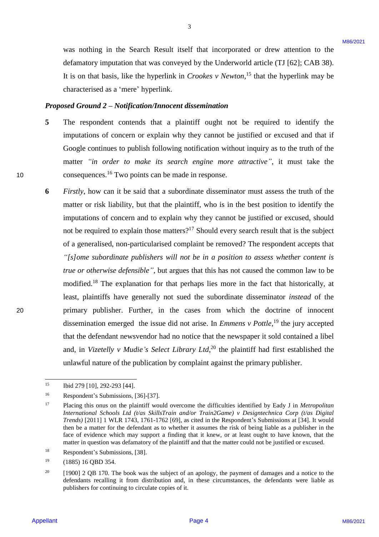was nothing in the Search Result itself that incorporated or drew attention to the was nothing in the Search Result itself that incorporated or drew attention to the defamatory imputation that was conveyed by the Underworld article (TJ [62]; CAB 38). defamatory imputation that was conveyed by the Underworld article (TJ [62]; CAB 38). It is on that basis, like the hyperlink in *Crookes v Newton*,<sup>15</sup> that the hyperlink may be characterised as a 'mere' hyperlink. characterised as <sup>a</sup> 'mere' hyperlink.

3

#### *Proposed Ground 2 – Notification/Innocent dissemination*  Proposed Ground 2 — Notification/Innocent dissemination

- 5 The respondent contends that a plaintiff ought not be required to identify the imputations of concern or explain why they cannot be justified or excused and that if Google continues to publish following notification without inquiry as to the truth of the Google continues to publish following notification without inquiry as to the truth of the matter *"in order to make its search engine more attractive"*, it must take the matter "in order to make its search engine more attractive", it must take the 10 consequences.<sup>16</sup> Two points can be made in response.
- **6** *Firstly*, how can it be said that a subordinate disseminator must assess the truth of the Firstly, how can it be said that <sup>a</sup> subordinate disseminator must assess the truth of the matter or risk liability, but that the plaintiff, who is in the best position to identify the imputations of concern and to explain why they cannot be justified or excused, should imputations of concern and to explain why they cannot be justified or excused, shouldnot be required to explain those matters?<sup>17</sup> Should every search result that is the subject of a generalised, non-particularised complaint be removed? The respondent accepts that "[s]ome subordinate publishers will not be in a position to assess whether content is *true or otherwise defensible"*, but argues that this has not caused the common law to be modified.<sup>18</sup> The explanation for that perhaps lies more in the fact that historically, at least, plaintiffs have generally not sued the subordinate disseminator *instead* of the least, plaintiffs have generally not suedthe subordinate disseminator instead of the 20 primary publisher. Further, in the cases from which the doctrine of innocent primary publisher. Further, in the cases from which the doctrine of innocent dissemination emerged the issue did not arise. In *Emmens v Pottle*,<sup>19</sup> the jury accepted that the defendant newsvendor had no notice that the newspaper it sold contained a libel that the defendant newsvendor had no notice that the newspaper it sold contained <sup>a</sup> libel and, in Vizetelly *v Mudie's Select Library Ltd*,<sup>20</sup> the plaintiff had first established the unlawful nature of the publication by complaint against the primary publisher. unlawful nature of the publication by complaint against the primary publisher. scan wathing to the Search Result inself that is composited or drew altertion to the definition of the search Results (Eq. 2021). It is on that both in the byteflick in Crossic solid Conference in the byteflick hange both

 $\overline{a}$ 

<sup>&</sup>lt;sup>15</sup> Ibid 279 [10], 292-293 [44].

<sup>16</sup> Respondent's Submissions, [36]-[37]. Respondent's Submissions, [36]-[37].

<sup>&</sup>lt;sup>17</sup> Placing this onus on the plaintiff would overcome the difficulties identified by Eady J in *Metropolitan International Schools Ltd (t/as SkillsTrain and/or Train2Game) v Designtechnica Corp (t/as Digital*  International Schools Ltd (t/as SkillsTrain and/or Train2Game) v Designtechnica Corp (t/as Digital *Trends)* [2011] 1 WLR 1743, 1761-1762 [69], as cited in the Respondent's Submissions at [34]. It would Trends) [2011] 1 WLR 1743, 1761-1762 [69], as cited in the Respondent's Submissions at [34]. It would then be a matter for the defendant as to whether it assumes the risk of being liable as a publisher in the then be a matter for the defendant as to whether it assumes the risk of being liable as a publisher in the face of evidence which may support a finding that it knew, or at least ought to have known, that the face of evidence which maysupport a finding that it knew, or at least ought to have known, that the matter in question was defamatory of the plaintiff and that the matter could not be justified or excused. matter in question was defamatory of the plaintiff and that the matter could not be justified or excused.

<sup>18</sup> Respondent's Submissions, [38]. Respondent's Submissions, [38].

 $^{19}$  (1885) 16 QBD 354.

<sup>&</sup>lt;sup>20</sup> [1900] 2 QB 170. The book was the subject of an apology, the payment of damages and a notice to the defendants recalling it from distribution and, in these circumstances, the defendants were liable as defendants recalling it from distribution and, in these circumstances, the defendants were liable as publishers for continuing to circulate copies of it. publishers for continuing to circulate copies of it.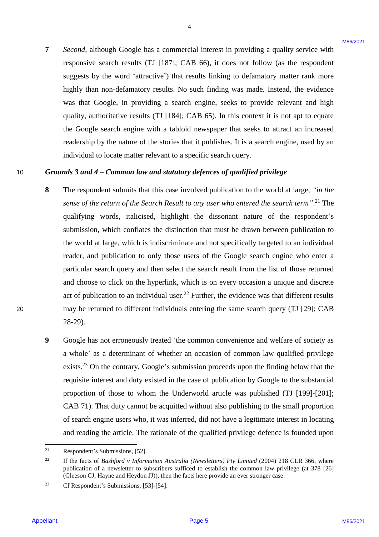**7** *Second,* although Google has a commercial interest in providing a quality service with Second, although Google has a commercial interest in providing <sup>a</sup> quality service with responsive search results (TJ [187]; CAB 66), it does not follow (as the respondent suggests by the word 'attractive') that results linking to defamatory matter rank more suggests by the word 'attractive') that results linking to defamatory matter rank more highly than non-defamatory results. No such finding was made. Instead, the evidence highly than non-defamatory results. No such finding was made. Instead, the evidence was that Google, in providing a search engine, seeks to provide relevant and high was that Google, in providing a search engine, seeks to provide relevant and high quality, authoritative results (TJ [184]; CAB 65). In this context it is not apt to equate quality, authoritative results (TJ [184]; CAB 65). In this context it is not apt to equate the Google search engine with a tabloid newspaper that seeks to attract an increased the Google search engine with a tabloid newspaperthat seeks to attract an increased readership by the nature of the stories that it publishes. It is a search engine, used by an individual to locate matter relevant to a specific search query. individual to locate matter relevant to <sup>a</sup> specific search query.

4

#### 10 **Grounds** 3 and 4 – Common law and statutory defences of qualified privilege 10

- **8** The respondent submits that this case involved publication to the world at large, "in the sense of the return of the Search Result to any user who entered the search term".<sup>21</sup> The qualifying words, italicised, highlight the dissonant nature of the respondent's submission, which conflates the distinction that must be drawn between publication to submission, which conflates the distinction that must be drawn between publication to the world at large, which is indiscriminate and not specifically targeted to an individual the world at large, which is indiscriminate and not specifically targeted to an individual reader, and publication to only those users of the Google search engine who enter a particular search query and then select the search result from the list of those returned and choose to click on the hyperlink, which is on every occasion a unique and discrete and choose to click on the hyperlink, which is on every occasion a unique and discrete act of publication to an individual user.<sup>22</sup> Further, the evidence was that different results 20 may be returned to different individuals entering the same search query (TJ [29]; CAB may be returned to different individuals entering the same search query (TJ [29]; CAB 28-29). 28-29). 3<br>Second, although Grayle bas a commental interest in providing a quality service with<br>responding CF (1871; CAB 660), it does not follow (as the foreparding<br>service with responding CF (1871; CAB 660), it does not follow (
	- **9** Google has not erroneously treated 'the common convenience and welfare of society as Google has not erroneously treated 'the common convenience and welfare of society as a whole' as a determinant of whether an occasion of common law qualified privilege exists.<sup>23</sup> On the contrary, Google's submission proceeds upon the finding below that the requisite interest and duty existed in the case of publication by Google to the substantial proportion of those to whom the Underworld article was published (TJ [199]-[201]; proportion ofthose to whom the Underworld article was published (TJ [199]-[201]; CAB 71). That duty cannot be acquitted without also publishing to the small proportion CAB 71). That duty cannot be acquitted without also publishing to the small proportion of search engine users who, it was inferred, did not have a legitimate interest in locating of search engine users who, it was inferred, did not have <sup>a</sup> legitimate interestin locating and reading the article. The rationale of the qualified privilege defence is founded upon and reading the article. The rationale of the qualified privilege defence is founded upon

<sup>21</sup> <sup>21</sup> Respondent's Submissions, [52]. Respondent's Submissions, [52].

<sup>&</sup>lt;sup>22</sup> If the facts of Bashford v Information Australia (Newsletters) Pty Limited (2004) 218 CLR 366, where publication of a newsletter to subscribers sufficed to establish the common law privilege (at 378 [26] publication of a newsletter to subscribers sufficed to establish the common law privilege (at 378 [26] (Gleeson CJ, Hayne and Heydon JJ)), then the facts here provide an ever stronger case. (Gleeson CJ, Hayne and Heydon JJ)), then the facts here provide an ever stronger case. 22

<sup>23</sup> Cf Respondent's Submissions, [53]-[54]. Cf Respondent's Submissions, [53]-[54]. 23